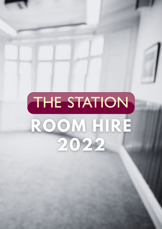# THE STATION ROOM HIRE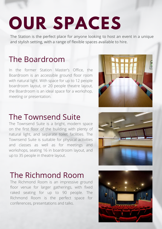## **OUR SPACES**

The Station is the perfect place for anyone looking to host an event in a unique and stylish setting, with a range of flexible spaces available to hire.

#### The Boardroom

In the former Station Master's Office, the Boardroom is an accessible ground floor room with natural light. With space for up to 12 people boardroom layout, or 20 people theatre layout, the Boardroom is an ideal space for a workshop, meeting or presentation.



#### The Townsend Suite

The Townsend Suite is a bright, modern space on the first floor of the building with plenty of natural light, and separate toilet facilities. The Townsend Suite is suitable for physical activities and classes as well as for meetings and workshops, seating 16 in boardroom layout, and up to 35 people in theatre layout.



#### The Richmond Room

The Richmond Room is an impressive ground floor venue for larger gatherings, with fixed raked seating for up to 90 people. The Richmond Room is the perfect space for conferences, presentations and talks.

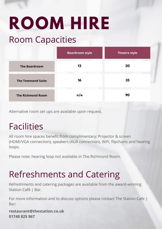# **ROOM HIRE**

#### Room Capacities

|                           | <b>Boardroom style</b> | <b>Theatre style</b> |
|---------------------------|------------------------|----------------------|
| <b>The Boardroom</b>      | 12                     | 20                   |
| <b>The Townsend Suite</b> | 16                     | 35                   |
| <b>The Richmond Room</b>  | n/a                    | 90                   |

Alternative room set ups are available upon request.

### Facilities

All room hire spaces benefit from complimentary: Projector & screen (HDMI/VGA connection), speakers (AUX connection), WiFi, flipcharts and hearing loops.

Please note: hearing loop not available in The Richmond Room.

### Refreshments and Catering

Refreshments and catering packages are available from the award-winning Station Café | Bar.

For more information and to discuss options please contact The Station Cafe | Bar:

**[restaurant@thestation.co.uk](mailto:restaurant@thestation.co.uk) 01748 825 967**